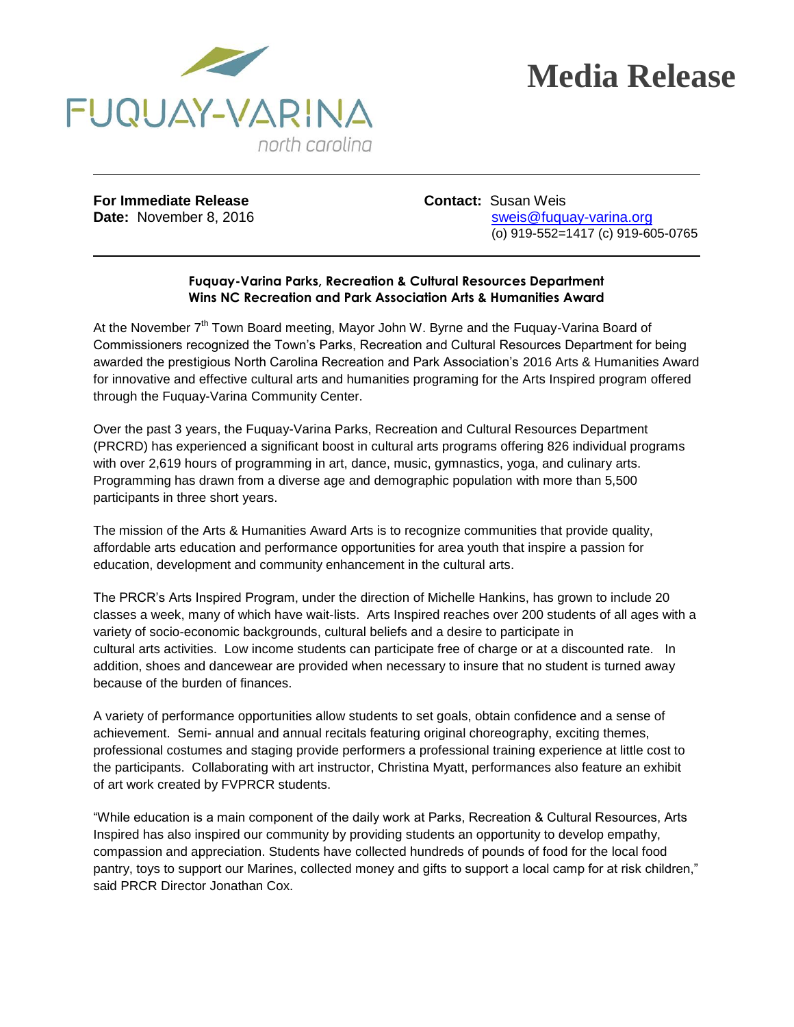

## **Media Release**

**For Immediate Release <b>Contact:** Susan Weis

**Date:** November 8, 2016 **State:** November 8, 2016 (o) 919-552=1417 (c) 919-605-0765

## **Fuquay-Varina Parks, Recreation & Cultural Resources Department Wins NC Recreation and Park Association Arts & Humanities Award**

At the November 7<sup>th</sup> Town Board meeting, Mayor John W. Byrne and the Fuquay-Varina Board of Commissioners recognized the Town's Parks, Recreation and Cultural Resources Department for being awarded the prestigious North Carolina Recreation and Park Association's 2016 Arts & Humanities Award for innovative and effective cultural arts and humanities programing for the Arts Inspired program offered through the Fuquay-Varina Community Center.

Over the past 3 years, the Fuquay-Varina Parks, Recreation and Cultural Resources Department (PRCRD) has experienced a significant boost in cultural arts programs offering 826 individual programs with over 2,619 hours of programming in art, dance, music, gymnastics, yoga, and culinary arts. Programming has drawn from a diverse age and demographic population with more than 5,500 participants in three short years.

The mission of the Arts & Humanities Award Arts is to recognize communities that provide quality, affordable arts education and performance opportunities for area youth that inspire a passion for education, development and community enhancement in the cultural arts.

The PRCR's Arts Inspired Program, under the direction of Michelle Hankins, has grown to include 20 classes a week, many of which have wait-lists. Arts Inspired reaches over 200 students of all ages with a variety of socio-economic backgrounds, cultural beliefs and a desire to participate in cultural arts activities. Low income students can participate free of charge or at a discounted rate. In addition, shoes and dancewear are provided when necessary to insure that no student is turned away because of the burden of finances.

A variety of performance opportunities allow students to set goals, obtain confidence and a sense of achievement. Semi- annual and annual recitals featuring original choreography, exciting themes, professional costumes and staging provide performers a professional training experience at little cost to the participants. Collaborating with art instructor, Christina Myatt, performances also feature an exhibit of art work created by FVPRCR students.

"While education is a main component of the daily work at Parks, Recreation & Cultural Resources, Arts Inspired has also inspired our community by providing students an opportunity to develop empathy, compassion and appreciation. Students have collected hundreds of pounds of food for the local food pantry, toys to support our Marines, collected money and gifts to support a local camp for at risk children," said PRCR Director Jonathan Cox.